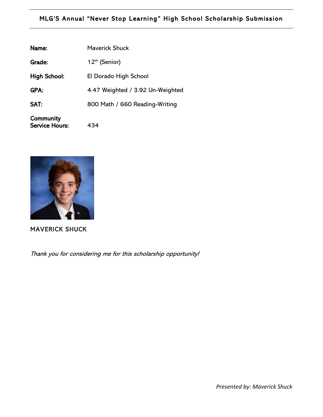## MLG'S Annual "Never Stop Learning" High School Scholarship Submission

| Name:                              | <b>Maverick Shuck</b>            |
|------------------------------------|----------------------------------|
| Grade:                             | 12 <sup>th</sup> (Senior)        |
| <b>High School:</b>                | El Dorado High School            |
| GPA:                               | 4.47 Weighted / 3.92 Un-Weighted |
| SAT:                               | 800 Math / 660 Reading-Writing   |
| Community<br><b>Service Hours:</b> | 434                              |



 $\overline{a}$ 

MAVERICK SHUCK

Thank you for considering me for this scholarship opportunity!

*Presented by: Maverick Shuck*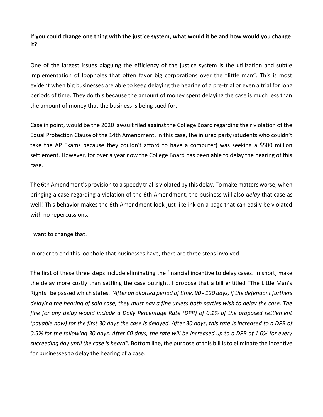## **If you could change one thing with the justice system, what would it be and how would you change it?**

One of the largest issues plaguing the efficiency of the justice system is the utilization and subtle implementation of loopholes that often favor big corporations over the "little man". This is most evident when big businesses are able to keep delaying the hearing of a pre-trial or even a trial for long periods of time. They do this because the amount of money spent delaying the case is much less than the amount of money that the business is being sued for.

Case in point, would be the 2020 lawsuit filed against the College Board regarding their violation of the Equal Protection Clause of the 14th Amendment. In this case, the injured party (students who couldn't take the AP Exams because they couldn't afford to have a computer) was seeking a \$500 million settlement. However, for over a year now the College Board has been able to delay the hearing of this case.

The 6th Amendment's provision to a speedy trial is violated by this delay. To make matters worse, when bringing a case regarding a violation of the 6th Amendment, the business will also *delay* that case as well! This behavior makes the 6th Amendment look just like ink on a page that can easily be violated with no repercussions.

I want to change that.

In order to end this loophole that businesses have, there are three steps involved.

The first of these three steps include eliminating the financial incentive to delay cases. In short, make the delay more costly than settling the case outright. I propose that a bill entitled "The Little Man's Rights" be passed which states, *"After an allotted period of time, 90 - 120 days, if the defendant furthers delaying the hearing of said case, they must pay a fine unless both parties wish to delay the case. The fine for any delay would include a Daily Percentage Rate (DPR) of 0.1% of the proposed settlement (payable now) for the first 30 days the case is delayed. After 30 days, this rate is increased to a DPR of 0.5% for the following 30 days. After 60 days, the rate will be increased up to a DPR of 1.0% for every succeeding day until the case is heard".* Bottom line, the purpose of this bill is to eliminate the incentive for businesses to delay the hearing of a case.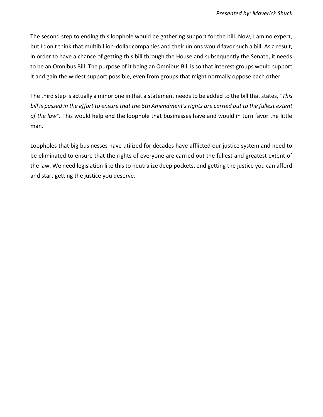The second step to ending this loophole would be gathering support for the bill. Now, I am no expert, but I don't think that multibillion-dollar companies and their unions would favor such a bill. As a result, in order to have a chance of getting this bill through the House and subsequently the Senate, it needs to be an Omnibus Bill. The purpose of it being an Omnibus Bill is so that interest groups would support it and gain the widest support possible, even from groups that might normally oppose each other.

The third step is actually a minor one in that a statement needs to be added to the bill that states, *"This bill is passed in the effort to ensure that the 6th Amendment's rights are carried out to the fullest extent of the law".* This would help end the loophole that businesses have and would in turn favor the little man.

Loopholes that big businesses have utilized for decades have afflicted our justice system and need to be eliminated to ensure that the rights of everyone are carried out the fullest and greatest extent of the law. We need legislation like this to neutralize deep pockets, end getting the justice you can afford and start getting the justice you deserve.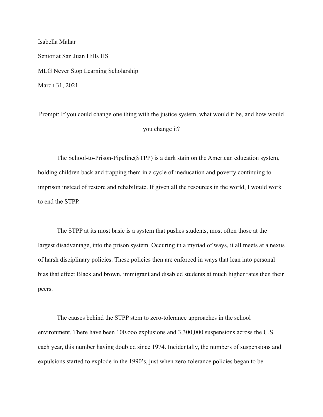Isabella Mahar Senior at San Juan Hills HS MLG Never Stop Learning Scholarship March 31, 2021

Prompt: If you could change one thing with the justice system, what would it be, and how would you change it?

The School-to-Prison-Pipeline(STPP) is a dark stain on the American education system, holding children back and trapping them in a cycle of ineducation and poverty continuing to imprison instead of restore and rehabilitate. If given all the resources in the world, I would work to end the STPP.

The STPP at its most basic is a system that pushes students, most often those at the largest disadvantage, into the prison system. Occuring in a myriad of ways, it all meets at a nexus of harsh disciplinary policies. These policies then are enforced in ways that lean into personal bias that effect Black and brown, immigrant and disabled students at much higher rates then their peers.

The causes behind the STPP stem to zero-tolerance approaches in the school environment. There have been 100,ooo explusions and 3,300,000 suspensions across the U.S. each year, this number having doubled since 1974. Incidentally, the numbers of suspensions and expulsions started to explode in the 1990's, just when zero-tolerance policies began to be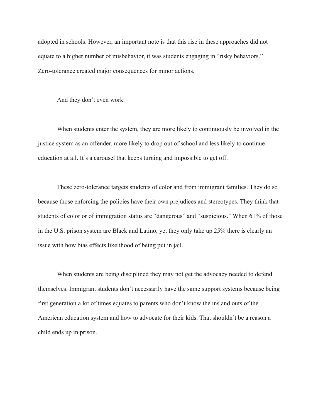adopted in schools. However, an important note is that this rise in these approaches did not equate to a higher number of misbehavior, it was students engaging in "risky behaviors." Zero-tolerance created major consequences for minor actions.

And they don't even work.

When students enter the system, they are more likely to continuously be involved in the justice system as an offender, more likely to drop out of school and less likely to continue education at all. It's a carousel that keeps turning and impossible to get off.

These zero-tolerance targets students of color and from immigrant families. They do so because those enforcing the policies have their own prejudices and stereotypes. They think that students of color or of immigration status are "dangerous" and "suspicious." When 61% of those in the U.S. prison system are Black and Latino, yet they only take up 25% there is clearly an issue with how bias effects likelihood of being put in jail.

When students are being disciplined they may not get the advocacy needed to defend themselves. Immigrant students don't necessarily have the same support systems because being first generation a lot of times equates to parents who don't know the ins and outs of the American education system and how to advocate for their kids. That shouldn't be a reason a child ends up in prison.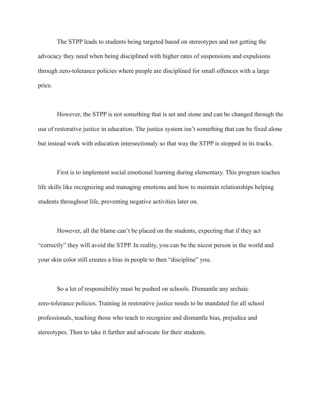The STPP leads to students being targeted based on stereotypes and not getting the advocacy they need when being disciplined with higher rates of suspensions and expulsions through zero-tolerance policies where people are disciplined for small offences with a large price.

However, the STPP is not something that is set and stone and can be changed through the use of restorative justice in education. The justice system isn't something that can be fixed alone but instead work with education intersectionaly so that way the STPP is stopped in its tracks.

First is to implement social emotional learning during elementary. This program teaches life skills like recognizing and managing emotions and how to maintain relationships helping students throughout life, preventing negative activities later on.

However, all the blame can't be placed on the students, expecting that if they act "correctly" they will avoid the STPP. In reality, you can be the nicest person in the world and your skin color still creates a bias in people to then "discipline" you.

So a lot of responsibility must be pushed on schools. Dismantle any archaic zero-tolerance policies. Training in restorative justice needs to be mandated for all school professionals, teaching those who teach to recognize and dismantle bias, prejudice and stereotypes. Then to take it further and advocate for their students.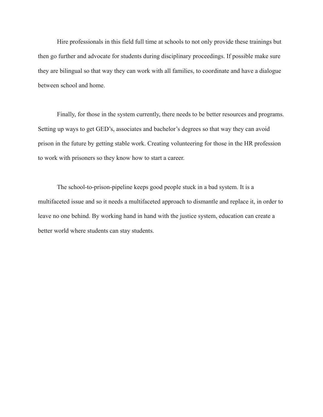Hire professionals in this field full time at schools to not only provide these trainings but then go further and advocate for students during disciplinary proceedings. If possible make sure they are bilingual so that way they can work with all families, to coordinate and have a dialogue between school and home.

Finally, for those in the system currently, there needs to be better resources and programs. Setting up ways to get GED's, associates and bachelor's degrees so that way they can avoid prison in the future by getting stable work. Creating volunteering for those in the HR profession to work with prisoners so they know how to start a career.

The school-to-prison-pipeline keeps good people stuck in a bad system. It is a multifaceted issue and so it needs a multifaceted approach to dismantle and replace it, in order to leave no one behind. By working hand in hand with the justice system, education can create a better world where students can stay students.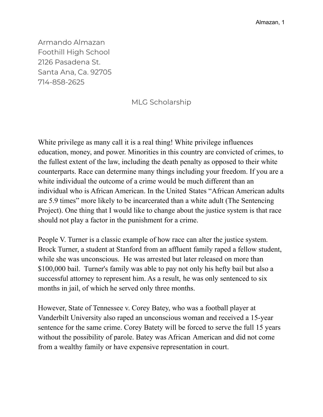Armando Almazan Foothill High School 2126 Pasadena St. Santa Ana, Ca. 92705 714-858-2625

## MLG Scholarship

White privilege as many call it is a real thing! White privilege influences education, money, and power. Minorities in this country are convicted of crimes, to the fullest extent of the law, including the death penalty as opposed to their white counterparts. Race can determine many things including your freedom. If you are a white individual the outcome of a crime would be much different than an individual who is African American. In the United States "African American adults are 5.9 times" more likely to be incarcerated than a white adult (The Sentencing Project). One thing that I would like to change about the justice system is that race should not play a factor in the punishment for a crime.

People V. Turner is a classic example of how race can alter the justice system. Brock Turner, a student at Stanford from an affluent family raped a fellow student, while she was unconscious. He was arrested but later released on more than \$100,000 bail. Turner's family was able to pay not only his hefty bail but also a successful attorney to represent him. As a result, he was only sentenced to six months in jail, of which he served only three months.

However, State of Tennessee v. Corey Batey, who was a football player at Vanderbilt University also raped an unconscious woman and received a 15-year sentence for the same crime. Corey Batety will be forced to serve the full 15 years without the possibility of parole. Batey was African American and did not come from a wealthy family or have expensive representation in court.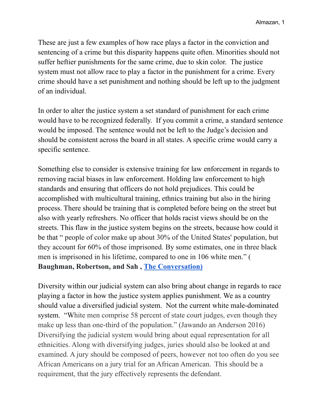These are just a few examples of how race plays a factor in the conviction and sentencing of a crime but this disparity happens quite often. Minorities should not suffer heftier punishments for the same crime, due to skin color. The justice system must not allow race to play a factor in the punishment for a crime. Every crime should have a set punishment and nothing should be left up to the judgment of an individual.

In order to alter the justice system a set standard of punishment for each crime would have to be recognized federally. If you commit a crime, a standard sentence would be imposed. The sentence would not be left to the Judge's decision and should be consistent across the board in all states. A specific crime would carry a specific sentence.

Something else to consider is extensive training for law enforcement in regards to removing racial biases in law enforcement. Holding law enforcement to high standards and ensuring that officers do not hold prejudices. This could be accomplished with multicultural training, ethnics training but also in the hiring process. There should be training that is completed before being on the street but also with yearly refreshers. No officer that holds racist views should be on the streets. This flaw in the justice system begins on the streets, because how could it be that " [people](https://behavioralpolicy.org/wp-content/uploads/2016/1-2/BSP_vol1no2_Sah_final.pdf) of color make up about 30% of the United States' population, but they account for 60% of those imprisoned. By some estimates, one in three black men is [imprisoned](http://www.bjs.gov/content/pub/pdf/p13.pdf) in his lifetime, compared to one in 106 white men." ( **Baughman, Robertson, and Sah , The [Conversation\)](https://theconversation.com/)**

Diversity within our judicial system can also bring about change in regards to race playing a factor in how the justice system applies punishment. We as a country should value a diversified judicial system. Not the current white male-dominated system. "White men comprise 58 percent of state court judges, even though they make up less than one-third of the population." (Jawando an Anderson 2016) Diversifying the judicial system would bring about equal representation for all ethnicities. Along with diversifying judges, juries should also be looked at and examined. A jury should be composed of peers, however not too often do you see African Americans on a jury trial for an African American. This should be a requirement, that the jury effectively represents the defendant.